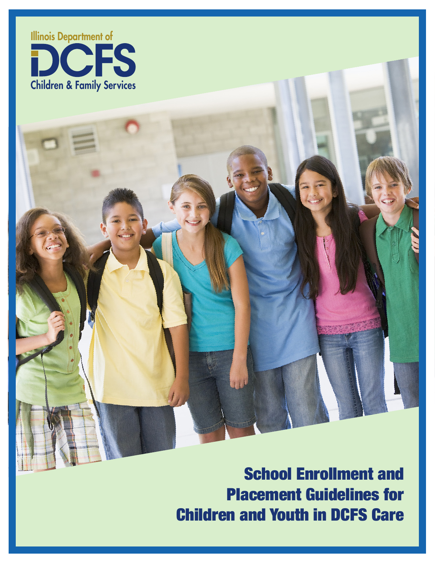

School Enrollment and Placement Guidelines for Children and Youth in DCFS Care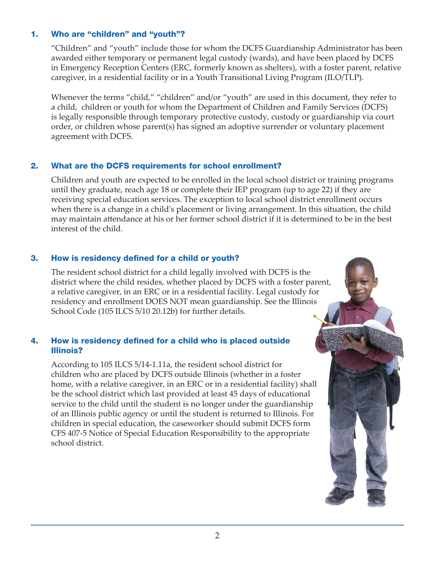### 1. Who are "children" and "youth"?

"Children" and "youth" include those for whom the DCFS Guardianship Administrator has been awarded either temporary or permanent legal custody (wards), and have been placed by DCFS in Emergency Reception Centers (ERC, formerly known as shelters), with a foster parent, relative caregiver, in a residential facility or in a Youth Transitional Living Program (ILO/TLP).

Whenever the terms "child," "children" and/or "youth" are used in this document, they refer to a child, children or youth for whom the Department of Children and Family Services (DCFS) is legally responsible through temporary protective custody, custody or guardianship via court order, or children whose parent(s) has signed an adoptive surrender or voluntary placement agreement with DCFS.

### 2. What are the DCFS requirements for school enrollment?

Children and youth are expected to be enrolled in the local school district or training programs until they graduate, reach age 18 or complete their IEP program (up to age 22) if they are receiving special education services. The exception to local school district enrollment occurs when there is a change in a child's placement or living arrangement. In this situation, the child may maintain attendance at his or her former school district if it is determined to be in the best interest of the child.

#### 3. How is residency defined for a child or youth?

The resident school district for a child legally involved with DCFS is the district where the child resides, whether placed by DCFS with a foster parent, a relative caregiver, in an ERC or in a residential facility. Legal custody for residency and enrollment DOES NOT mean guardianship. See the Illinois School Code (105 ILCS 5/10 20.12b) for further details.

### 4. How is residency defined for a child who is placed outside Illinois?

According to 105 ILCS 5/14-1.11a, the resident school district for children who are placed by DCFS outside Illinois (whether in a foster home, with a relative caregiver, in an ERC or in a residential facility) shall be the school district which last provided at least 45 days of educational service to the child until the student is no longer under the guardianship of an Illinois public agency or until the student is returned to Illinois. For children in special education, the caseworker should submit DCFS form CFS 407-5 Notice of Special Education Responsibility to the appropriate school district.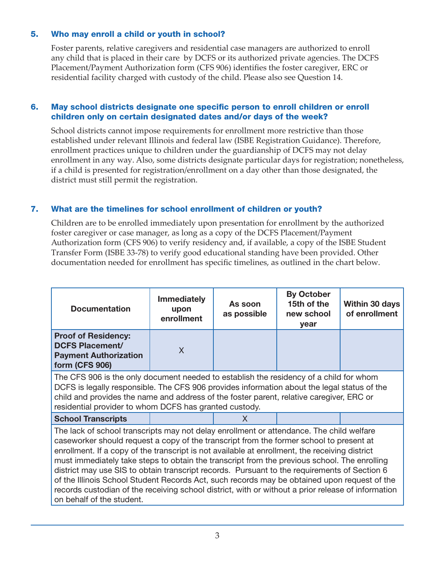# 5. Who may enroll a child or youth in school?

Foster parents, relative caregivers and residential case managers are authorized to enroll any child that is placed in their care by DCFS or its authorized private agencies. The DCFS Placement/Payment Authorization form (CFS 906) identifies the foster caregiver, ERC or residential facility charged with custody of the child. Please also see Question 14.

#### 6. May school districts designate one specific person to enroll children or enroll children only on certain designated dates and/or days of the week?

School districts cannot impose requirements for enrollment more restrictive than those established under relevant Illinois and federal law (ISBE Registration Guidance). Therefore, enrollment practices unique to children under the guardianship of DCFS may not delay enrollment in any way. Also, some districts designate particular days for registration; nonetheless, if a child is presented for registration/enrollment on a day other than those designated, the district must still permit the registration.

### 7. What are the timelines for school enrollment of children or youth?

Children are to be enrolled immediately upon presentation for enrollment by the authorized foster caregiver or case manager, as long as a copy of the DCFS Placement/Payment Authorization form (CFS 906) to verify residency and, if available, a copy of the ISBE Student Transfer Form (ISBE 33-78) to verify good educational standing have been provided. Other documentation needed for enrollment has specific timelines, as outlined in the chart below.

| <b>Documentation</b>                                                                                                                                                                                                                                                                                                                                                                                                                                                                                                                                                                                                                                                                                                     | <b>Immediately</b><br>upon<br>enrollment | As soon<br>as possible | <b>By October</b><br>15th of the<br>new school<br>year | <b>Within 30 days</b><br>of enrollment |
|--------------------------------------------------------------------------------------------------------------------------------------------------------------------------------------------------------------------------------------------------------------------------------------------------------------------------------------------------------------------------------------------------------------------------------------------------------------------------------------------------------------------------------------------------------------------------------------------------------------------------------------------------------------------------------------------------------------------------|------------------------------------------|------------------------|--------------------------------------------------------|----------------------------------------|
| <b>Proof of Residency:</b><br><b>DCFS Placement/</b><br><b>Payment Authorization</b><br>form (CFS 906)                                                                                                                                                                                                                                                                                                                                                                                                                                                                                                                                                                                                                   | X                                        |                        |                                                        |                                        |
| The CFS 906 is the only document needed to establish the residency of a child for whom<br>DCFS is legally responsible. The CFS 906 provides information about the legal status of the<br>child and provides the name and address of the foster parent, relative caregiver, ERC or<br>residential provider to whom DCFS has granted custody.                                                                                                                                                                                                                                                                                                                                                                              |                                          |                        |                                                        |                                        |
| <b>School Transcripts</b>                                                                                                                                                                                                                                                                                                                                                                                                                                                                                                                                                                                                                                                                                                |                                          | X                      |                                                        |                                        |
| The lack of school transcripts may not delay enrollment or attendance. The child welfare<br>caseworker should request a copy of the transcript from the former school to present at<br>enrollment. If a copy of the transcript is not available at enrollment, the receiving district<br>must immediately take steps to obtain the transcript from the previous school. The enrolling<br>district may use SIS to obtain transcript records. Pursuant to the requirements of Section 6<br>of the Illinois School Student Records Act, such records may be obtained upon request of the<br>records custodian of the receiving school district, with or without a prior release of information<br>on behalf of the student. |                                          |                        |                                                        |                                        |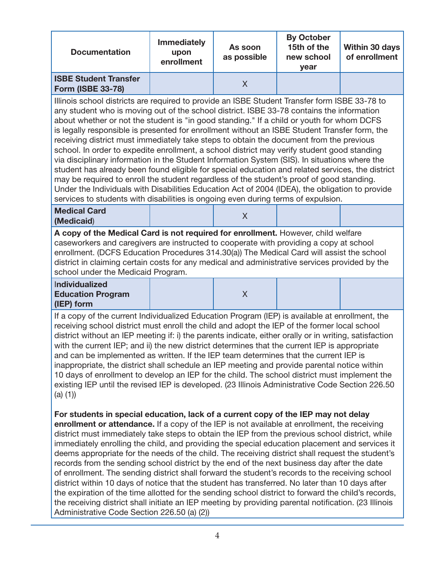| <b>Documentation</b>                                     | <b>Immediately</b><br>upon<br>enrollment | As soon<br>as possible | <b>By October</b><br>15th of the<br>new school<br>vear | Within 30 days<br>of enrollment |
|----------------------------------------------------------|------------------------------------------|------------------------|--------------------------------------------------------|---------------------------------|
| <b>ISBE Student Transfer</b><br><b>Form (ISBE 33-78)</b> |                                          |                        |                                                        |                                 |

Illinois school districts are required to provide an ISBE Student Transfer form ISBE 33-78 to any student who is moving out of the school district. ISBE 33-78 contains the information about whether or not the student is "in good standing." If a child or youth for whom DCFS is legally responsible is presented for enrollment without an ISBE Student Transfer form, the receiving district must immediately take steps to obtain the document from the previous school. In order to expedite enrollment, a school district may verify student good standing via disciplinary information in the Student Information System (SIS). In situations where the student has already been found eligible for special education and related services, the district may be required to enroll the student regardless of the student's proof of good standing. Under the Individuals with Disabilities Education Act of 2004 (IDEA), the obligation to provide services to students with disabilities is ongoing even during terms of expulsion.

#### **Medical Card (Medicaid**) <sup>X</sup>

X

**A copy of the Medical Card is not required for enrollment.** However, child welfare caseworkers and caregivers are instructed to cooperate with providing a copy at school enrollment. (DCFS Education Procedures 314.30(a)) The Medical Card will assist the school district in claiming certain costs for any medical and administrative services provided by the school under the Medicaid Program.

#### I**ndividualized Education Program (IEP) form**

If a copy of the current Individualized Education Program (IEP) is available at enrollment, the receiving school district must enroll the child and adopt the IEP of the former local school district without an IEP meeting if: i) the parents indicate, either orally or in writing, satisfaction with the current IEP; and ii) the new district determines that the current IEP is appropriate and can be implemented as written. If the IEP team determines that the current IEP is inappropriate, the district shall schedule an IEP meeting and provide parental notice within 10 days of enrollment to develop an IEP for the child. The school district must implement the existing IEP until the revised IEP is developed. (23 Illinois Administrative Code Section 226.50 (a) (1))

**For students in special education, lack of a current copy of the IEP may not delay enrollment or attendance.** If a copy of the IEP is not available at enrollment, the receiving district must immediately take steps to obtain the IEP from the previous school district, while immediately enrolling the child, and providing the special education placement and services it deems appropriate for the needs of the child. The receiving district shall request the student's records from the sending school district by the end of the next business day after the date of enrollment. The sending district shall forward the student's records to the receiving school district within 10 days of notice that the student has transferred. No later than 10 days after the expiration of the time allotted for the sending school district to forward the child's records, the receiving district shall initiate an IEP meeting by providing parental notification. (23 Illinois Administrative Code Section 226.50 (a) (2))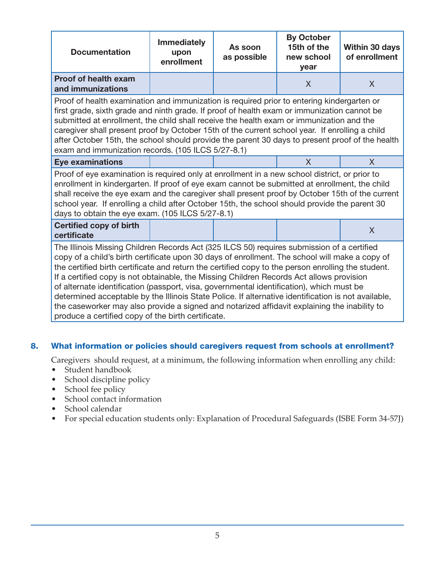| <b>Documentation</b>                                                                                                                                                                                                                                                                                                                                                                                                                                                                                                                                                                                                                                                                                                                                    | <b>Immediately</b><br>upon<br>enrollment | As soon<br>as possible | <b>By October</b><br>15th of the<br>new school<br>year | <b>Within 30 days</b><br>of enrollment |
|---------------------------------------------------------------------------------------------------------------------------------------------------------------------------------------------------------------------------------------------------------------------------------------------------------------------------------------------------------------------------------------------------------------------------------------------------------------------------------------------------------------------------------------------------------------------------------------------------------------------------------------------------------------------------------------------------------------------------------------------------------|------------------------------------------|------------------------|--------------------------------------------------------|----------------------------------------|
| <b>Proof of health exam</b><br>and immunizations                                                                                                                                                                                                                                                                                                                                                                                                                                                                                                                                                                                                                                                                                                        |                                          |                        | X                                                      | $\sf X$                                |
| Proof of health examination and immunization is required prior to entering kindergarten or<br>first grade, sixth grade and ninth grade. If proof of health exam or immunization cannot be<br>submitted at enrollment, the child shall receive the health exam or immunization and the<br>caregiver shall present proof by October 15th of the current school year. If enrolling a child<br>after October 15th, the school should provide the parent 30 days to present proof of the health<br>exam and immunization records. (105 ILCS 5/27-8.1)                                                                                                                                                                                                        |                                          |                        |                                                        |                                        |
| <b>Eye examinations</b>                                                                                                                                                                                                                                                                                                                                                                                                                                                                                                                                                                                                                                                                                                                                 |                                          |                        | X                                                      | $\mathsf{X}$                           |
| Proof of eye examination is required only at enrollment in a new school district, or prior to<br>enrollment in kindergarten. If proof of eye exam cannot be submitted at enrollment, the child<br>shall receive the eye exam and the caregiver shall present proof by October 15th of the current<br>school year. If enrolling a child after October 15th, the school should provide the parent 30<br>days to obtain the eye exam. (105 ILCS 5/27-8.1)                                                                                                                                                                                                                                                                                                  |                                          |                        |                                                        |                                        |
| <b>Certified copy of birth</b><br>certificate                                                                                                                                                                                                                                                                                                                                                                                                                                                                                                                                                                                                                                                                                                           |                                          |                        |                                                        | $\sf X$                                |
| The Illinois Missing Children Records Act (325 ILCS 50) requires submission of a certified<br>copy of a child's birth certificate upon 30 days of enrollment. The school will make a copy of<br>the certified birth certificate and return the certified copy to the person enrolling the student.<br>If a certified copy is not obtainable, the Missing Children Records Act allows provision<br>of alternate identification (passport, visa, governmental identification), which must be<br>determined acceptable by the Illinois State Police. If alternative identification is not available,<br>the caseworker may also provide a signed and notarized affidavit explaining the inability to<br>produce a certified copy of the birth certificate. |                                          |                        |                                                        |                                        |

# 8. What information or policies should caregivers request from schools at enrollment?

Caregivers should request, at a minimum, the following information when enrolling any child:

- Student handbook
- School discipline policy
- School fee policy
- School contact information
- School calendar
- For special education students only: Explanation of Procedural Safeguards (ISBE Form 34-57J)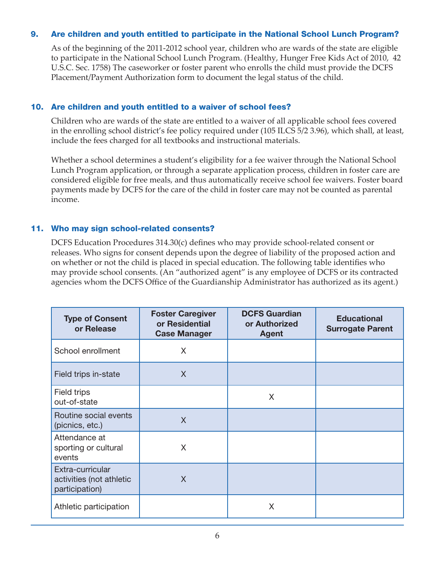# 9. Are children and youth entitled to participate in the National School Lunch Program?

 As of the beginning of the 2011-2012 school year, children who are wards of the state are eligible to participate in the National School Lunch Program. (Healthy, Hunger Free Kids Act of 2010, 42 U.S.C. Sec. 1758) The caseworker or foster parent who enrolls the child must provide the DCFS Placement/Payment Authorization form to document the legal status of the child.

#### 10. Are children and youth entitled to a waiver of school fees?

Children who are wards of the state are entitled to a waiver of all applicable school fees covered in the enrolling school district's fee policy required under (105 ILCS 5/2 3.96), which shall, at least, include the fees charged for all textbooks and instructional materials.

Whether a school determines a student's eligibility for a fee waiver through the National School Lunch Program application, or through a separate application process, children in foster care are considered eligible for free meals, and thus automatically receive school fee waivers. Foster board payments made by DCFS for the care of the child in foster care may not be counted as parental income.

#### 11. Who may sign school-related consents?

DCFS Education Procedures 314.30(c) defines who may provide school-related consent or releases. Who signs for consent depends upon the degree of liability of the proposed action and on whether or not the child is placed in special education. The following table identifies who may provide school consents. (An "authorized agent" is any employee of DCFS or its contracted agencies whom the DCFS Office of the Guardianship Administrator has authorized as its agent.)

| <b>Type of Consent</b><br>or Release                           | <b>Foster Caregiver</b><br>or Residential<br><b>Case Manager</b> | <b>DCFS Guardian</b><br>or Authorized<br><b>Agent</b> | <b>Educational</b><br><b>Surrogate Parent</b> |
|----------------------------------------------------------------|------------------------------------------------------------------|-------------------------------------------------------|-----------------------------------------------|
| School enrollment                                              | X                                                                |                                                       |                                               |
| Field trips in-state                                           | X                                                                |                                                       |                                               |
| Field trips<br>out-of-state                                    |                                                                  | X                                                     |                                               |
| Routine social events<br>(picnics, etc.)                       | X                                                                |                                                       |                                               |
| Attendance at<br>sporting or cultural<br>events                | X                                                                |                                                       |                                               |
| Extra-curricular<br>activities (not athletic<br>participation) | X                                                                |                                                       |                                               |
| Athletic participation                                         |                                                                  | X                                                     |                                               |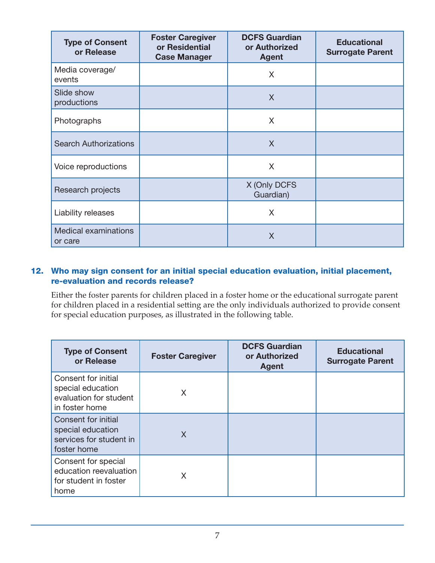| <b>Type of Consent</b><br>or Release   | <b>Foster Caregiver</b><br>or Residential<br><b>Case Manager</b> | <b>DCFS Guardian</b><br>or Authorized<br><b>Agent</b> | <b>Educational</b><br><b>Surrogate Parent</b> |
|----------------------------------------|------------------------------------------------------------------|-------------------------------------------------------|-----------------------------------------------|
| Media coverage/<br>events              |                                                                  | X                                                     |                                               |
| Slide show<br>productions              |                                                                  | X                                                     |                                               |
| Photographs                            |                                                                  | X                                                     |                                               |
| <b>Search Authorizations</b>           |                                                                  | X                                                     |                                               |
| Voice reproductions                    |                                                                  | X                                                     |                                               |
| Research projects                      |                                                                  | X (Only DCFS<br>Guardian)                             |                                               |
| Liability releases                     |                                                                  | X                                                     |                                               |
| <b>Medical examinations</b><br>or care |                                                                  | X                                                     |                                               |

# 12. Who may sign consent for an initial special education evaluation, initial placement, re-evaluation and records release?

Either the foster parents for children placed in a foster home or the educational surrogate parent for children placed in a residential setting are the only individuals authorized to provide consent for special education purposes, as illustrated in the following table.

| <b>Type of Consent</b><br>or Release                                                 | <b>Foster Caregiver</b> | <b>DCFS Guardian</b><br>or Authorized<br>Agent | <b>Educational</b><br><b>Surrogate Parent</b> |
|--------------------------------------------------------------------------------------|-------------------------|------------------------------------------------|-----------------------------------------------|
| Consent for initial<br>special education<br>evaluation for student<br>in foster home | X                       |                                                |                                               |
| Consent for initial<br>special education<br>services for student in<br>foster home   | X                       |                                                |                                               |
| Consent for special<br>education reevaluation<br>for student in foster<br>home       | X                       |                                                |                                               |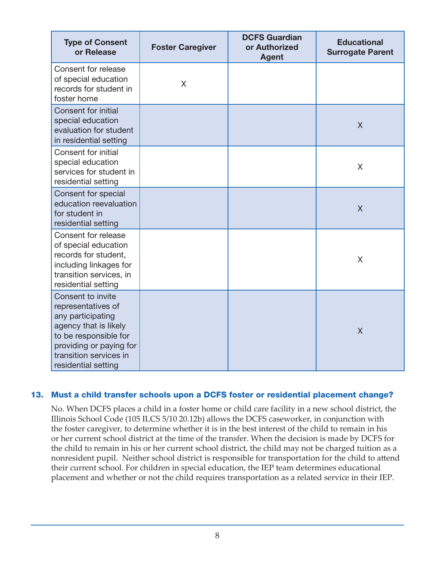| <b>Type of Consent</b><br>or Release                                                                                                                                                       | <b>Foster Caregiver</b> | <b>DCFS Guardian</b><br>or Authorized<br><b>Agent</b> | <b>Educational</b><br><b>Surrogate Parent</b> |
|--------------------------------------------------------------------------------------------------------------------------------------------------------------------------------------------|-------------------------|-------------------------------------------------------|-----------------------------------------------|
| Consent for release<br>of special education<br>records for student in<br>foster home                                                                                                       | X                       |                                                       |                                               |
| Consent for initial<br>special education<br>evaluation for student<br>in residential setting                                                                                               |                         |                                                       | $\sf X$                                       |
| Consent for initial<br>special education<br>services for student in<br>residential setting                                                                                                 |                         |                                                       | X                                             |
| Consent for special<br>education reevaluation<br>for student in<br>residential setting                                                                                                     |                         |                                                       | $\overline{\mathsf{X}}$                       |
| Consent for release<br>of special education<br>records for student,<br>including linkages for<br>transition services, in<br>residential setting                                            |                         |                                                       | X                                             |
| Consent to invite<br>representatives of<br>any participating<br>agency that is likely<br>to be responsible for<br>providing or paying for<br>transition services in<br>residential setting |                         |                                                       | $\overline{X}$                                |

### 13. Must a child transfer schools upon a DCFS foster or residential placement change?

No. When DCFS places a child in a foster home or child care facility in a new school district, the Illinois School Code (105 ILCS 5/10 20.12b) allows the DCFS caseworker, in conjunction with the foster caregiver, to determine whether it is in the best interest of the child to remain in his or her current school district at the time of the transfer. When the decision is made by DCFS for the child to remain in his or her current school district, the child may not be charged tuition as a nonresident pupil. Neither school district is responsible for transportation for the child to attend their current school. For children in special education, the IEP team determines educational placement and whether or not the child requires transportation as a related service in their IEP.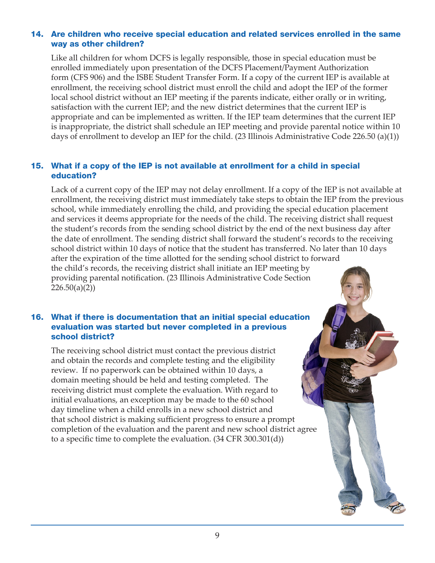# 14. Are children who receive special education and related services enrolled in the same way as other children?

Like all children for whom DCFS is legally responsible, those in special education must be enrolled immediately upon presentation of the DCFS Placement/Payment Authorization form (CFS 906) and the ISBE Student Transfer Form. If a copy of the current IEP is available at enrollment, the receiving school district must enroll the child and adopt the IEP of the former local school district without an IEP meeting if the parents indicate, either orally or in writing, satisfaction with the current IEP; and the new district determines that the current IEP is appropriate and can be implemented as written. If the IEP team determines that the current IEP is inappropriate, the district shall schedule an IEP meeting and provide parental notice within 10 days of enrollment to develop an IEP for the child. (23 Illinois Administrative Code 226.50 (a)(1))

# 15. What if a copy of the IEP is not available at enrollment for a child in special education?

Lack of a current copy of the IEP may not delay enrollment. If a copy of the IEP is not available at enrollment, the receiving district must immediately take steps to obtain the IEP from the previous school, while immediately enrolling the child, and providing the special education placement and services it deems appropriate for the needs of the child. The receiving district shall request the student's records from the sending school district by the end of the next business day after the date of enrollment. The sending district shall forward the student's records to the receiving school district within 10 days of notice that the student has transferred. No later than 10 days after the expiration of the time allotted for the sending school district to forward the child's records, the receiving district shall initiate an IEP meeting by providing parental notification. (23 Illinois Administrative Code Section  $226.50(a)(2)$ 

#### 16. What if there is documentation that an initial special education evaluation was started but never completed in a previous school district?

The receiving school district must contact the previous district and obtain the records and complete testing and the eligibility review. If no paperwork can be obtained within 10 days, a domain meeting should be held and testing completed. The receiving district must complete the evaluation. With regard to initial evaluations, an exception may be made to the 60 school day timeline when a child enrolls in a new school district and that school district is making sufficient progress to ensure a prompt completion of the evaluation and the parent and new school district agree to a specific time to complete the evaluation. (34 CFR 300.301(d))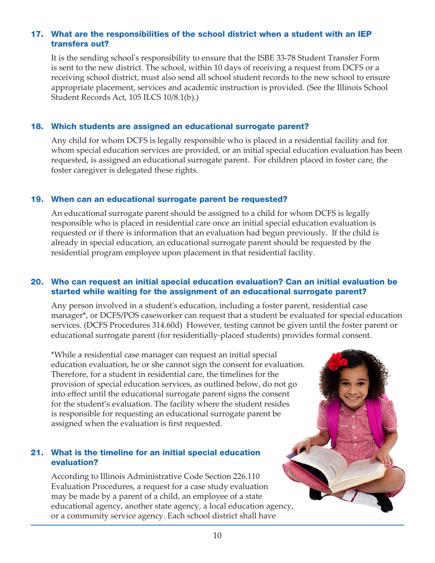# 17. What are the responsibilities of the school district when a student with an IEP transfers out?

It is the sending school's responsibility to ensure that the ISBE 33-78 Student Transfer Form is sent to the new district. The school, within 10 days of receiving a request from DCFS or a receiving school district, must also send all school student records to the new school to ensure appropriate placement, services and academic instruction is provided. (See the Illinois School Student Records Act, 105 ILCS 10/8.1(b).)

#### 18. Which students are assigned an educational surrogate parent?

Any child for whom DCFS is legally responsible who is placed in a residential facility and for whom special education services are provided, or an initial special education evaluation has been requested, is assigned an educational surrogate parent. For children placed in foster care, the foster caregiver is delegated these rights.

### 19. When can an educational surrogate parent be requested?

An educational surrogate parent should be assigned to a child for whom DCFS is legally responsible who is placed in residential care once an initial special education evaluation is requested or if there is information that an evaluation had begun previously. If the child is already in special education, an educational surrogate parent should be requested by the residential program employee upon placement in that residential facility.

### 20. Who can request an initial special education evaluation? Can an initial evaluation be started while waiting for the assignment of an educational surrogate parent?

Any person involved in a student's education, including a foster parent, residential case manager\*, or DCFS/POS caseworker can request that a student be evaluated for special education services. (DCFS Procedures 314.60d) However, testing cannot be given until the foster parent or educational surrogate parent (for residentially-placed students) provides formal consent.

\*While a residential case manager can request an initial special education evaluation, he or she cannot sign the consent for evaluation. Therefore, for a student in residential care, the timelines for the provision of special education services, as outlined below, do not go into effect until the educational surrogate parent signs the consent for the student's evaluation. The facility where the student resides is responsible for requesting an educational surrogate parent be assigned when the evaluation is first requested.

# 21. What is the timeline for an initial special education evaluation?

According to Illinois Administrative Code Section 226.110 Evaluation Procedures, a request for a case study evaluation may be made by a parent of a child, an employee of a state educational agency, another state agency, a local education agency, or a community service agency. Each school district shall have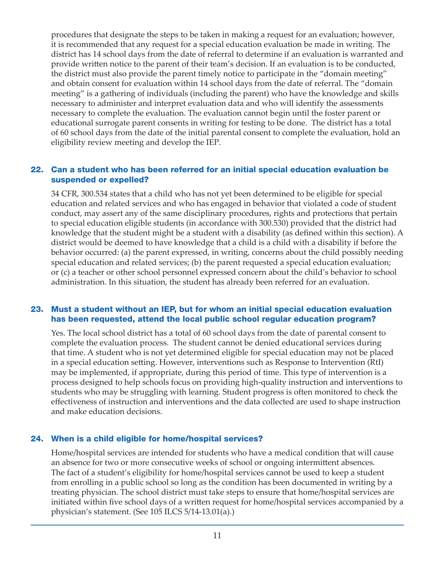procedures that designate the steps to be taken in making a request for an evaluation; however, it is recommended that any request for a special education evaluation be made in writing. The district has 14 school days from the date of referral to determine if an evaluation is warranted and provide written notice to the parent of their team's decision. If an evaluation is to be conducted, the district must also provide the parent timely notice to participate in the "domain meeting" and obtain consent for evaluation within 14 school days from the date of referral. The "domain meeting" is a gathering of individuals (including the parent) who have the knowledge and skills necessary to administer and interpret evaluation data and who will identify the assessments necessary to complete the evaluation. The evaluation cannot begin until the foster parent or educational surrogate parent consents in writing for testing to be done. The district has a total of 60 school days from the date of the initial parental consent to complete the evaluation, hold an eligibility review meeting and develop the IEP.

#### 22. Can a student who has been referred for an initial special education evaluation be suspended or expelled?

34 CFR, 300.534 states that a child who has not yet been determined to be eligible for special education and related services and who has engaged in behavior that violated a code of student conduct, may assert any of the same disciplinary procedures, rights and protections that pertain to special education eligible students (in accordance with 300.530) provided that the district had knowledge that the student might be a student with a disability (as defined within this section). A district would be deemed to have knowledge that a child is a child with a disability if before the behavior occurred: (a) the parent expressed, in writing, concerns about the child possibly needing special education and related services; (b) the parent requested a special education evaluation; or (c) a teacher or other school personnel expressed concern about the child's behavior to school administration. In this situation, the student has already been referred for an evaluation.

#### 23. Must a student without an IEP, but for whom an initial special education evaluation has been requested, attend the local public school regular education program?

Yes. The local school district has a total of 60 school days from the date of parental consent to complete the evaluation process. The student cannot be denied educational services during that time. A student who is not yet determined eligible for special education may not be placed in a special education setting. However, interventions such as Response to Intervention (RtI) may be implemented, if appropriate, during this period of time. This type of intervention is a process designed to help schools focus on providing high-quality instruction and interventions to students who may be struggling with learning. Student progress is often monitored to check the effectiveness of instruction and interventions and the data collected are used to shape instruction and make education decisions.

#### 24. When is a child eligible for home/hospital services?

Home/hospital services are intended for students who have a medical condition that will cause an absence for two or more consecutive weeks of school or ongoing intermittent absences. The fact of a student's eligibility for home/hospital services cannot be used to keep a student from enrolling in a public school so long as the condition has been documented in writing by a treating physician. The school district must take steps to ensure that home/hospital services are initiated within five school days of a written request for home/hospital services accompanied by a physician's statement. (See 105 ILCS 5/14-13.01(a).)